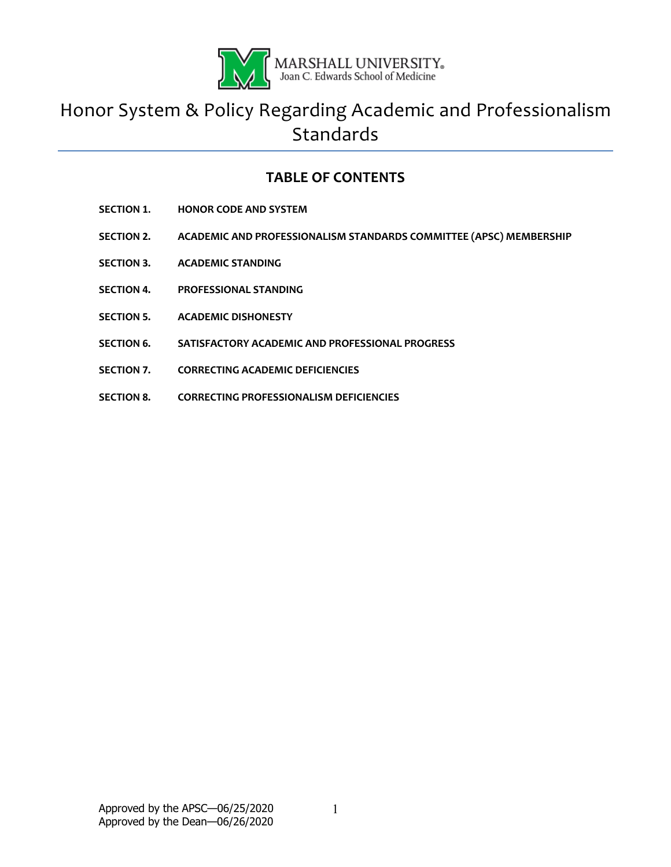

# Honor System & Policy Regarding Academic and Professionalism **Standards**

# **TABLE OF CONTENTS**

- **SECTION 1. HONOR CODE AND SYSTEM**
- **SECTION 2. ACADEMIC AND PROFESSIONALISM STANDARDS COMMITTEE (APSC) MEMBERSHIP**
- **SECTION 3. ACADEMIC STANDING**
- **SECTION 4. PROFESSIONAL STANDING**
- **SECTION 5. ACADEMIC DISHONESTY**
- **SECTION 6. SATISFACTORY ACADEMIC AND PROFESSIONAL PROGRESS**
- **SECTION 7. CORRECTING ACADEMIC DEFICIENCIES**
- **SECTION 8. CORRECTING PROFESSIONALISM DEFICIENCIES**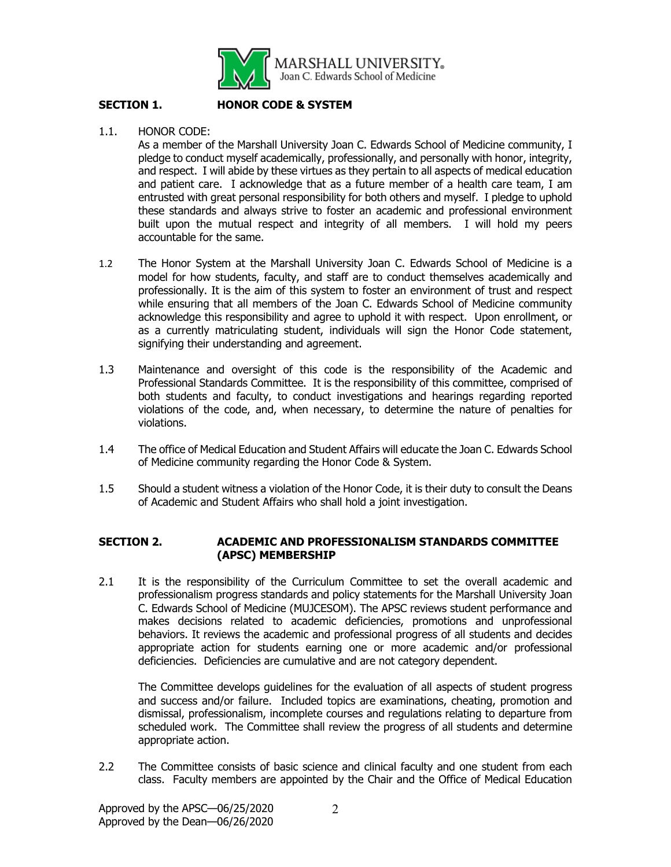

# **SECTION 1. HONOR CODE & SYSTEM**

1.1. HONOR CODE:

As a member of the Marshall University Joan C. Edwards School of Medicine community, I pledge to conduct myself academically, professionally, and personally with honor, integrity, and respect. I will abide by these virtues as they pertain to all aspects of medical education and patient care. I acknowledge that as a future member of a health care team, I am entrusted with great personal responsibility for both others and myself. I pledge to uphold these standards and always strive to foster an academic and professional environment built upon the mutual respect and integrity of all members. I will hold my peers accountable for the same.

- 1.2 The Honor System at the Marshall University Joan C. Edwards School of Medicine is a model for how students, faculty, and staff are to conduct themselves academically and professionally. It is the aim of this system to foster an environment of trust and respect while ensuring that all members of the Joan C. Edwards School of Medicine community acknowledge this responsibility and agree to uphold it with respect. Upon enrollment, or as a currently matriculating student, individuals will sign the Honor Code statement, signifying their understanding and agreement.
- 1.3 Maintenance and oversight of this code is the responsibility of the Academic and Professional Standards Committee. It is the responsibility of this committee, comprised of both students and faculty, to conduct investigations and hearings regarding reported violations of the code, and, when necessary, to determine the nature of penalties for violations.
- 1.4 The office of Medical Education and Student Affairs will educate the Joan C. Edwards School of Medicine community regarding the Honor Code & System.
- 1.5 Should a student witness a violation of the Honor Code, it is their duty to consult the Deans of Academic and Student Affairs who shall hold a joint investigation.

# **SECTION 2. ACADEMIC AND PROFESSIONALISM STANDARDS COMMITTEE (APSC) MEMBERSHIP**

2.1 It is the responsibility of the Curriculum Committee to set the overall academic and professionalism progress standards and policy statements for the Marshall University Joan C. Edwards School of Medicine (MUJCESOM). The APSC reviews student performance and makes decisions related to academic deficiencies, promotions and unprofessional behaviors. It reviews the academic and professional progress of all students and decides appropriate action for students earning one or more academic and/or professional deficiencies. Deficiencies are cumulative and are not category dependent.

The Committee develops guidelines for the evaluation of all aspects of student progress and success and/or failure. Included topics are examinations, cheating, promotion and dismissal, professionalism, incomplete courses and regulations relating to departure from scheduled work. The Committee shall review the progress of all students and determine appropriate action.

2.2 The Committee consists of basic science and clinical faculty and one student from each class. Faculty members are appointed by the Chair and the Office of Medical Education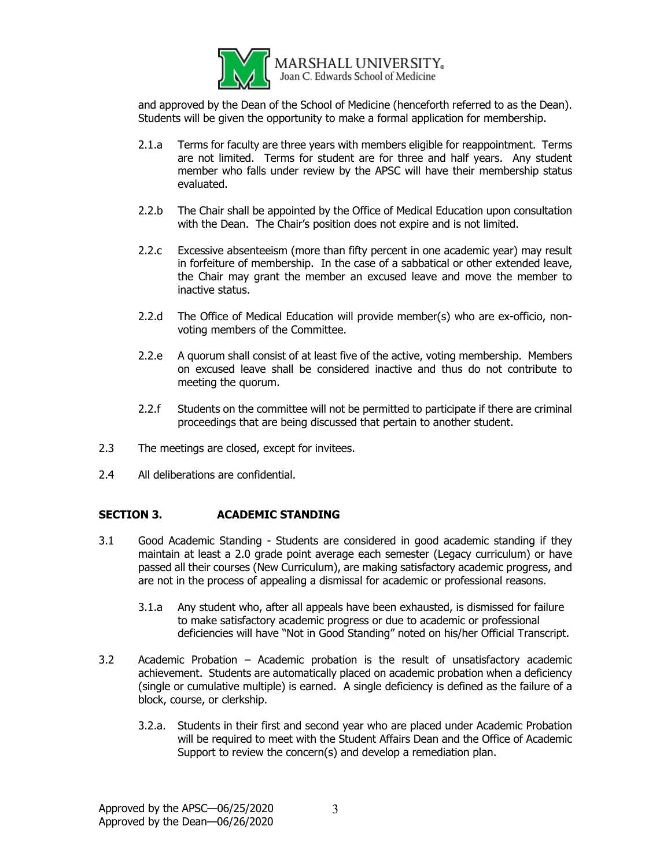

and approved by the Dean of the School of Medicine (henceforth referred to as the Dean). Students will be given the opportunity to make a formal application for membership.

- 2.1.a Terms for faculty are three years with members eligible for reappointment. Terms are not limited. Terms for student are for three and half years. Any student member who falls under review by the APSC will have their membership status evaluated.
- 2.2.b The Chair shall be appointed by the Office of Medical Education upon consultation with the Dean. The Chair's position does not expire and is not limited.
- 2.2.c Excessive absenteeism (more than fifty percent in one academic year) may result in forfeiture of membership. In the case of a sabbatical or other extended leave, the Chair may grant the member an excused leave and move the member to inactive status.
- 2.2.d The Office of Medical Education will provide member(s) who are ex-officio, nonvoting members of the Committee.
- 2.2.e A quorum shall consist of at least five of the active, voting membership. Members on excused leave shall be considered inactive and thus do not contribute to meeting the quorum.
- 2.2.f Students on the committee will not be permitted to participate if there are criminal proceedings that are being discussed that pertain to another student.
- 2.3 The meetings are closed, except for invitees.
- 2.4 All deliberations are confidential.

#### **SECTION 3. ACADEMIC STANDING**

- 3.1 Good Academic Standing Students are considered in good academic standing if they maintain at least a 2.0 grade point average each semester (Legacy curriculum) or have passed all their courses (New Curriculum), are making satisfactory academic progress, and are not in the process of appealing a dismissal for academic or professional reasons.
	- 3.1.a Any student who, after all appeals have been exhausted, is dismissed for failure to make satisfactory academic progress or due to academic or professional deficiencies will have "Not in Good Standing" noted on his/her Official Transcript.
- 3.2 Academic Probation Academic probation is the result of unsatisfactory academic achievement. Students are automatically placed on academic probation when a deficiency (single or cumulative multiple) is earned. A single deficiency is defined as the failure of a block, course, or clerkship.
	- 3.2.a. Students in their first and second year who are placed under Academic Probation will be required to meet with the Student Affairs Dean and the Office of Academic Support to review the concern(s) and develop a remediation plan.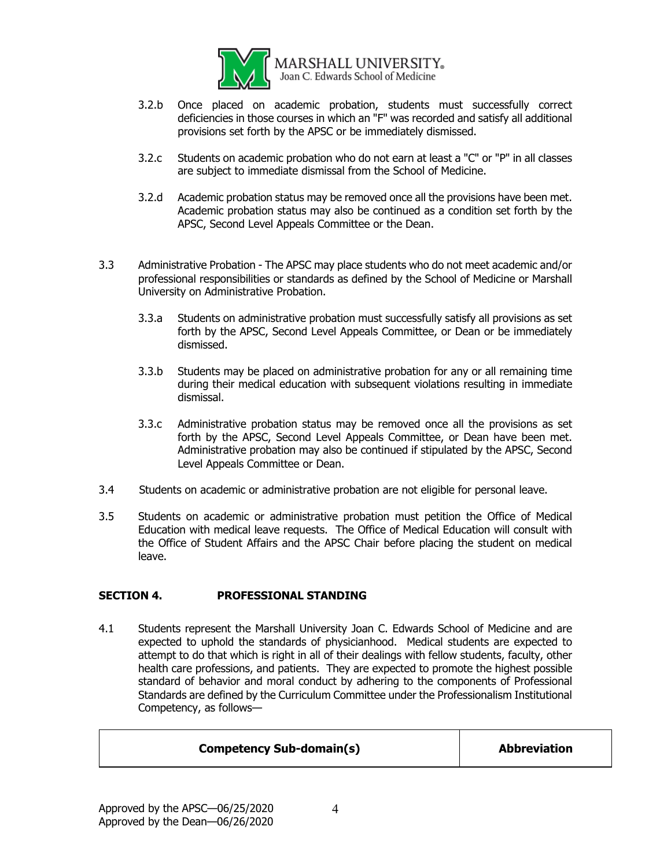

**MARSHALL UNIVERSITY.** Joan C. Edwards School of Medicine

- 3.2.b Once placed on academic probation, students must successfully correct deficiencies in those courses in which an "F" was recorded and satisfy all additional provisions set forth by the APSC or be immediately dismissed.
- 3.2.c Students on academic probation who do not earn at least a "C" or "P" in all classes are subject to immediate dismissal from the School of Medicine.
- 3.2.d Academic probation status may be removed once all the provisions have been met. Academic probation status may also be continued as a condition set forth by the APSC, Second Level Appeals Committee or the Dean.
- 3.3 Administrative Probation The APSC may place students who do not meet academic and/or professional responsibilities or standards as defined by the School of Medicine or Marshall University on Administrative Probation.
	- 3.3.a Students on administrative probation must successfully satisfy all provisions as set forth by the APSC, Second Level Appeals Committee, or Dean or be immediately dismissed.
	- 3.3.b Students may be placed on administrative probation for any or all remaining time during their medical education with subsequent violations resulting in immediate dismissal.
	- 3.3.c Administrative probation status may be removed once all the provisions as set forth by the APSC, Second Level Appeals Committee, or Dean have been met. Administrative probation may also be continued if stipulated by the APSC, Second Level Appeals Committee or Dean.
- 3.4 Students on academic or administrative probation are not eligible for personal leave.
- 3.5 Students on academic or administrative probation must petition the Office of Medical Education with medical leave requests. The Office of Medical Education will consult with the Office of Student Affairs and the APSC Chair before placing the student on medical leave.

# **SECTION 4. PROFESSIONAL STANDING**

4.1 Students represent the Marshall University Joan C. Edwards School of Medicine and are expected to uphold the standards of physicianhood. Medical students are expected to attempt to do that which is right in all of their dealings with fellow students, faculty, other health care professions, and patients. They are expected to promote the highest possible standard of behavior and moral conduct by adhering to the components of Professional Standards are defined by the Curriculum Committee under the Professionalism Institutional Competency, as follows—

| <b>Competency Sub-domain(s)</b> | <b>Abbreviation</b> |
|---------------------------------|---------------------|
|                                 |                     |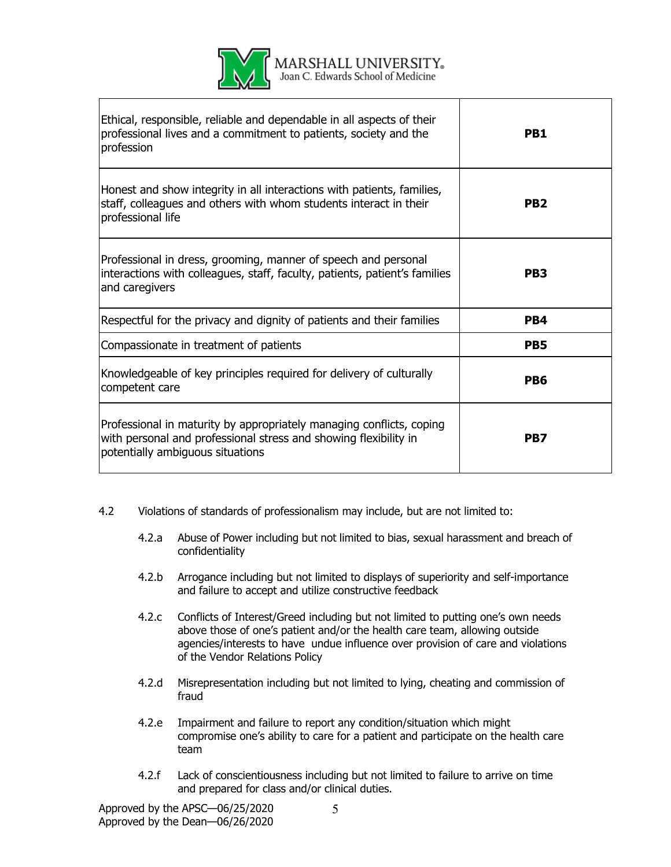

MARSHALL UNIVERSITY. Joan C. Edwards School of Medicine

| Ethical, responsible, reliable and dependable in all aspects of their<br>professional lives and a commitment to patients, society and the<br>profession                      | PB <sub>1</sub> |
|------------------------------------------------------------------------------------------------------------------------------------------------------------------------------|-----------------|
| Honest and show integrity in all interactions with patients, families,<br>staff, colleagues and others with whom students interact in their<br>professional life             | PB <sub>2</sub> |
| Professional in dress, grooming, manner of speech and personal<br>interactions with colleagues, staff, faculty, patients, patient's families<br>and caregivers               | PB <sub>3</sub> |
| Respectful for the privacy and dignity of patients and their families                                                                                                        | PB4             |
| Compassionate in treatment of patients                                                                                                                                       | PB <sub>5</sub> |
| Knowledgeable of key principles required for delivery of culturally<br>competent care                                                                                        | PB <sub>6</sub> |
| Professional in maturity by appropriately managing conflicts, coping<br>with personal and professional stress and showing flexibility in<br>potentially ambiguous situations | PB7             |

- 4.2 Violations of standards of professionalism may include, but are not limited to:
	- 4.2.a Abuse of Power including but not limited to bias, sexual harassment and breach of confidentiality
	- 4.2.b Arrogance including but not limited to displays of superiority and self-importance and failure to accept and utilize constructive feedback
	- 4.2.c Conflicts of Interest/Greed including but not limited to putting one's own needs above those of one's patient and/or the health care team, allowing outside agencies/interests to have undue influence over provision of care and violations of the Vendor Relations Policy
	- 4.2.d Misrepresentation including but not limited to lying, cheating and commission of fraud
	- 4.2.e Impairment and failure to report any condition/situation which might compromise one's ability to care for a patient and participate on the health care team
	- 4.2.f Lack of conscientiousness including but not limited to failure to arrive on time and prepared for class and/or clinical duties.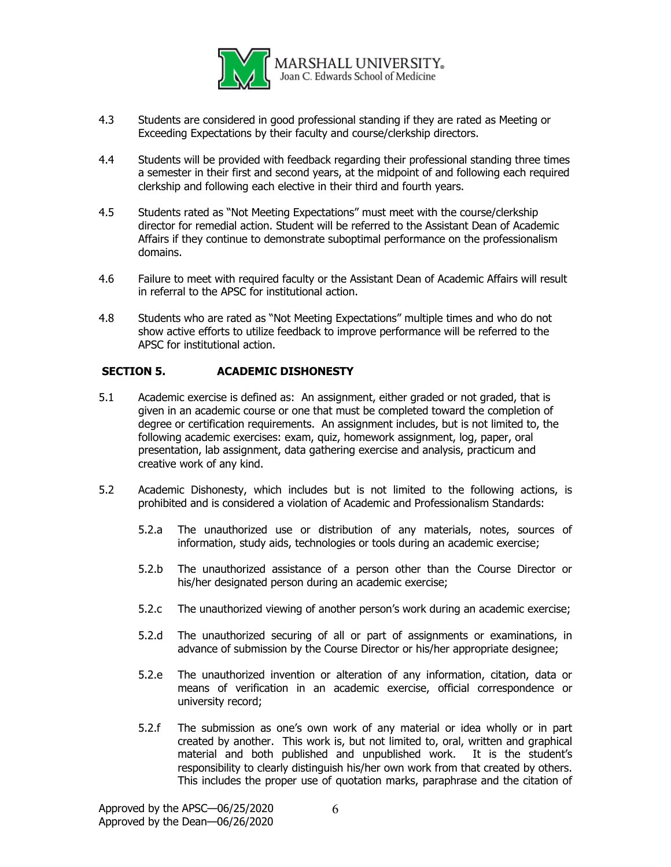

- 4.3 Students are considered in good professional standing if they are rated as Meeting or Exceeding Expectations by their faculty and course/clerkship directors.
- 4.4 Students will be provided with feedback regarding their professional standing three times a semester in their first and second years, at the midpoint of and following each required clerkship and following each elective in their third and fourth years.
- 4.5 Students rated as "Not Meeting Expectations" must meet with the course/clerkship director for remedial action. Student will be referred to the Assistant Dean of Academic Affairs if they continue to demonstrate suboptimal performance on the professionalism domains.
- 4.6 Failure to meet with required faculty or the Assistant Dean of Academic Affairs will result in referral to the APSC for institutional action.
- 4.8 Students who are rated as "Not Meeting Expectations" multiple times and who do not show active efforts to utilize feedback to improve performance will be referred to the APSC for institutional action.

# **SECTION 5. ACADEMIC DISHONESTY**

- 5.1 Academic exercise is defined as: An assignment, either graded or not graded, that is given in an academic course or one that must be completed toward the completion of degree or certification requirements. An assignment includes, but is not limited to, the following academic exercises: exam, quiz, homework assignment, log, paper, oral presentation, lab assignment, data gathering exercise and analysis, practicum and creative work of any kind.
- 5.2 Academic Dishonesty, which includes but is not limited to the following actions, is prohibited and is considered a violation of Academic and Professionalism Standards:
	- 5.2.a The unauthorized use or distribution of any materials, notes, sources of information, study aids, technologies or tools during an academic exercise;
	- 5.2.b The unauthorized assistance of a person other than the Course Director or his/her designated person during an academic exercise;
	- 5.2.c The unauthorized viewing of another person's work during an academic exercise;
	- 5.2.d The unauthorized securing of all or part of assignments or examinations, in advance of submission by the Course Director or his/her appropriate designee;
	- 5.2.e The unauthorized invention or alteration of any information, citation, data or means of verification in an academic exercise, official correspondence or university record;
	- 5.2.f The submission as one's own work of any material or idea wholly or in part created by another. This work is, but not limited to, oral, written and graphical material and both published and unpublished work. It is the student's responsibility to clearly distinguish his/her own work from that created by others. This includes the proper use of quotation marks, paraphrase and the citation of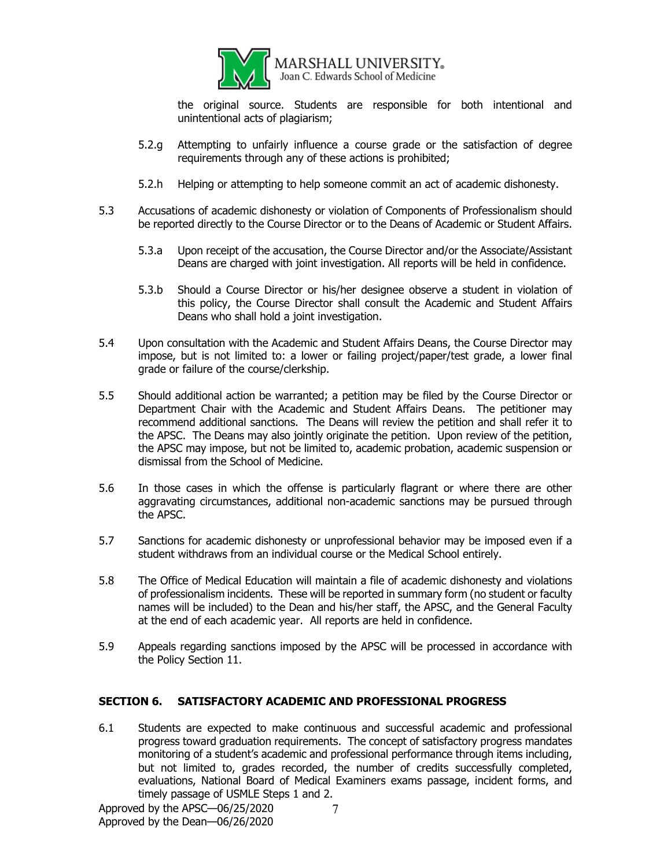

the original source. Students are responsible for both intentional and unintentional acts of plagiarism;

- 5.2.g Attempting to unfairly influence a course grade or the satisfaction of degree requirements through any of these actions is prohibited;
- 5.2.h Helping or attempting to help someone commit an act of academic dishonesty.
- 5.3 Accusations of academic dishonesty or violation of Components of Professionalism should be reported directly to the Course Director or to the Deans of Academic or Student Affairs.
	- 5.3.a Upon receipt of the accusation, the Course Director and/or the Associate/Assistant Deans are charged with joint investigation. All reports will be held in confidence.
	- 5.3.b Should a Course Director or his/her designee observe a student in violation of this policy, the Course Director shall consult the Academic and Student Affairs Deans who shall hold a joint investigation.
- 5.4 Upon consultation with the Academic and Student Affairs Deans, the Course Director may impose, but is not limited to: a lower or failing project/paper/test grade, a lower final grade or failure of the course/clerkship.
- 5.5 Should additional action be warranted; a petition may be filed by the Course Director or Department Chair with the Academic and Student Affairs Deans. The petitioner may recommend additional sanctions. The Deans will review the petition and shall refer it to the APSC. The Deans may also jointly originate the petition. Upon review of the petition, the APSC may impose, but not be limited to, academic probation, academic suspension or dismissal from the School of Medicine.
- 5.6 In those cases in which the offense is particularly flagrant or where there are other aggravating circumstances, additional non-academic sanctions may be pursued through the APSC.
- 5.7 Sanctions for academic dishonesty or unprofessional behavior may be imposed even if a student withdraws from an individual course or the Medical School entirely.
- 5.8 The Office of Medical Education will maintain a file of academic dishonesty and violations of professionalism incidents. These will be reported in summary form (no student or faculty names will be included) to the Dean and his/her staff, the APSC, and the General Faculty at the end of each academic year. All reports are held in confidence.
- 5.9 Appeals regarding sanctions imposed by the APSC will be processed in accordance with the Policy Section 11.

#### **SECTION 6. SATISFACTORY ACADEMIC AND PROFESSIONAL PROGRESS**

6.1 Students are expected to make continuous and successful academic and professional progress toward graduation requirements. The concept of satisfactory progress mandates monitoring of a student's academic and professional performance through items including, but not limited to, grades recorded, the number of credits successfully completed, evaluations, National Board of Medical Examiners exams passage, incident forms, and timely passage of USMLE Steps 1 and 2.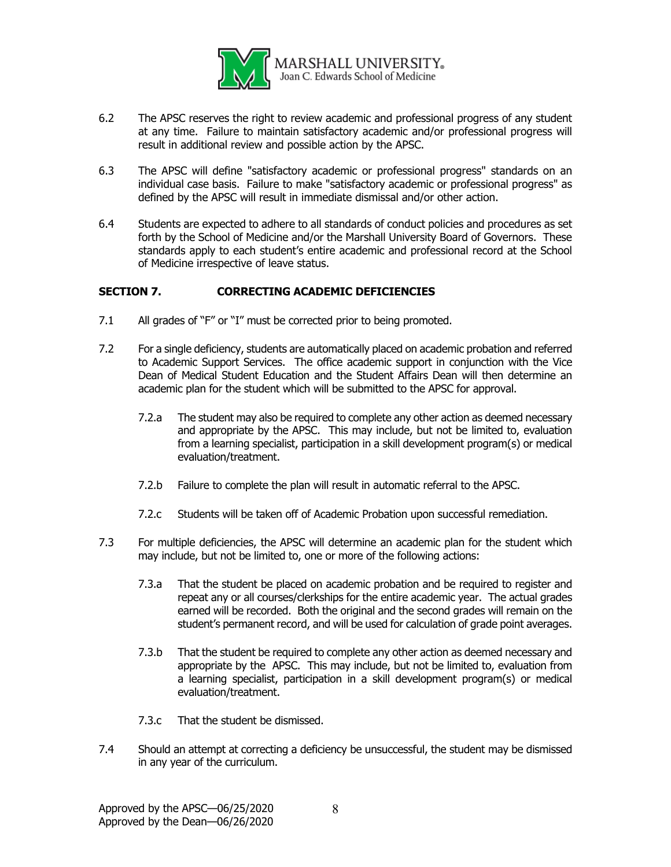

- 6.2 The APSC reserves the right to review academic and professional progress of any student at any time. Failure to maintain satisfactory academic and/or professional progress will result in additional review and possible action by the APSC.
- 6.3 The APSC will define "satisfactory academic or professional progress" standards on an individual case basis. Failure to make "satisfactory academic or professional progress" as defined by the APSC will result in immediate dismissal and/or other action.
- 6.4 Students are expected to adhere to all standards of conduct policies and procedures as set forth by the School of Medicine and/or the Marshall University Board of Governors. These standards apply to each student's entire academic and professional record at the School of Medicine irrespective of leave status.

# **SECTION 7. CORRECTING ACADEMIC DEFICIENCIES**

- 7.1 All grades of "F" or "I" must be corrected prior to being promoted.
- 7.2 For a single deficiency, students are automatically placed on academic probation and referred to Academic Support Services. The office academic support in conjunction with the Vice Dean of Medical Student Education and the Student Affairs Dean will then determine an academic plan for the student which will be submitted to the APSC for approval.
	- 7.2.a The student may also be required to complete any other action as deemed necessary and appropriate by the APSC. This may include, but not be limited to, evaluation from a learning specialist, participation in a skill development program(s) or medical evaluation/treatment.
	- 7.2.b Failure to complete the plan will result in automatic referral to the APSC.
	- 7.2.c Students will be taken off of Academic Probation upon successful remediation.
- 7.3 For multiple deficiencies, the APSC will determine an academic plan for the student which may include, but not be limited to, one or more of the following actions:
	- 7.3.a That the student be placed on academic probation and be required to register and repeat any or all courses/clerkships for the entire academic year. The actual grades earned will be recorded. Both the original and the second grades will remain on the student's permanent record, and will be used for calculation of grade point averages.
	- 7.3.b That the student be required to complete any other action as deemed necessary and appropriate by the APSC. This may include, but not be limited to, evaluation from a learning specialist, participation in a skill development program(s) or medical evaluation/treatment.
	- 7.3.c That the student be dismissed.
- 7.4 Should an attempt at correcting a deficiency be unsuccessful, the student may be dismissed in any year of the curriculum.